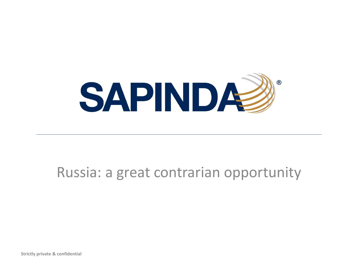

# Russia: a great contrarian opportunity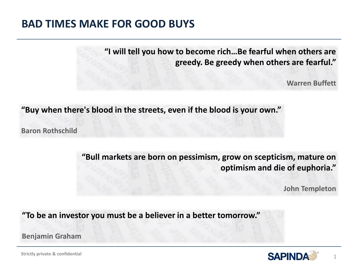### **BAD TIMES MAKE FOR GOOD BUYS**

**"I will tell you how to become rich…Be fearful when others are greedy. Be greedy when others are fearful."** 

**Warren Buffett**

**"Buy when there's blood in the streets, even if the blood is your own."**

**Baron Rothschild**

**"Bull markets are born on pessimism, grow on scepticism, mature on optimism and die of euphoria."**

**John Templeton**

1

**"To be an investor you must be a believer in a better tomorrow."** 

**Benjamin Graham**

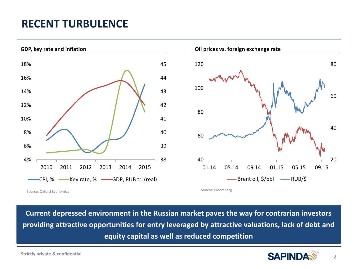# **RECENT TURBULENCE**





**Current depressed environment in the Russian market paves the way for contrarian investors providing attractive opportunities for entry leveraged by attractive valuations, lack of debt and equity capital as well as reduced competition**

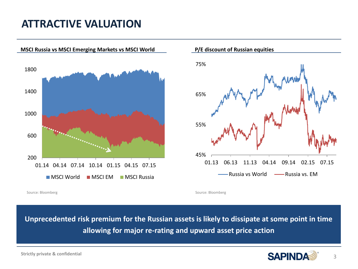## **ATTRACTIVE VALUATION**

**MSCI Russia vs MSCI Emerging Markets vs MSCI World**





**P/E discount of Russian equities**

Source: Bloomberg Source: Bloomberg Source: Bloomberg Source: Bloomberg Source: Bloomberg Source: Bloomberg Source: Bloomberg Source: Bloomberg Source: Bloomberg Source: Bloomberg Source: Bloomberg Source: Bloomberg Source

**Unprecedented risk premium for the Russian assets is likely to dissipate at some point in time allowing for major re-rating and upward asset price action**



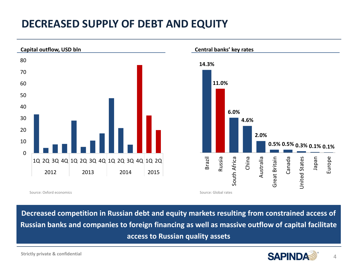# **DECREASED SUPPLY OF DEBT AND EQUITY**



Source: Oxford economics **Source: Global rates** Source: Global rates

**Decreased competition in Russian debt and equity markets resulting from constrained access of Russian banks and companies to foreign financing as well as massive outflow of capital facilitate access to Russian quality assets**

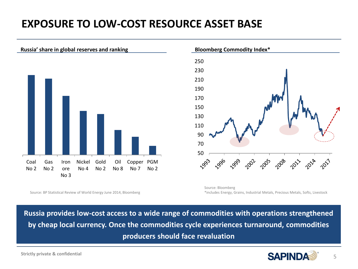# **EXPOSURE TO LOW-COST RESOURCE ASSET BASE**





Source: Bloomberg \*includes Energy, Grains, Industrial Metals, Precious Metals, Softs, Livestock

Source: BP Statistical Review of World Energy June 2014, Bloomberg

**Russia provides low-cost access to a wide range of commodities with operations strengthened by cheap local currency. Once the commodities cycle experiences turnaround, commodities producers should face revaluation** 

5